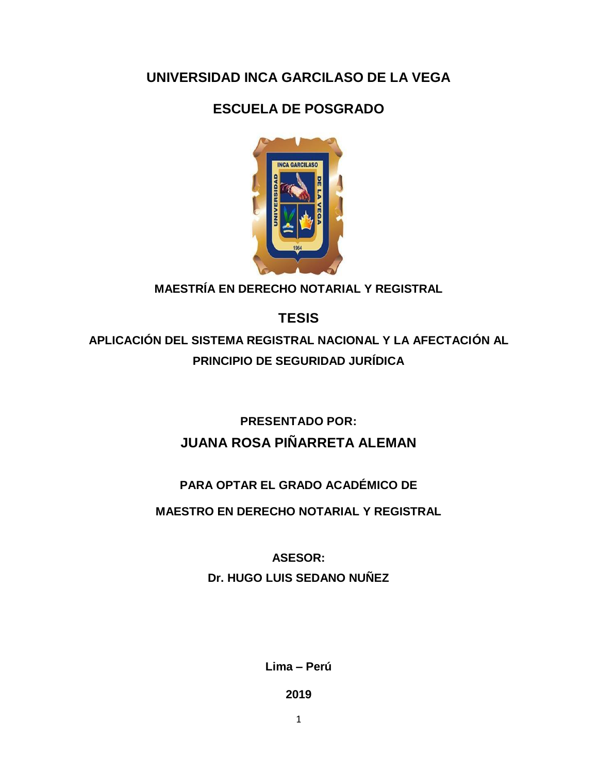## **UNIVERSIDAD INCA GARCILASO DE LA VEGA**

# **ESCUELA DE POSGRADO**



**MAESTRÍA EN DERECHO NOTARIAL Y REGISTRAL**

**TESIS**

**APLICACIÓN DEL SISTEMA REGISTRAL NACIONAL Y LA AFECTACIÓN AL PRINCIPIO DE SEGURIDAD JURÍDICA**

> **PRESENTADO POR: JUANA ROSA PIÑARRETA ALEMAN**

### **PARA OPTAR EL GRADO ACADÉMICO DE**

**MAESTRO EN DERECHO NOTARIAL Y REGISTRAL**

**ASESOR: Dr. HUGO LUIS SEDANO NUÑEZ**

**Lima – Perú**

**2019**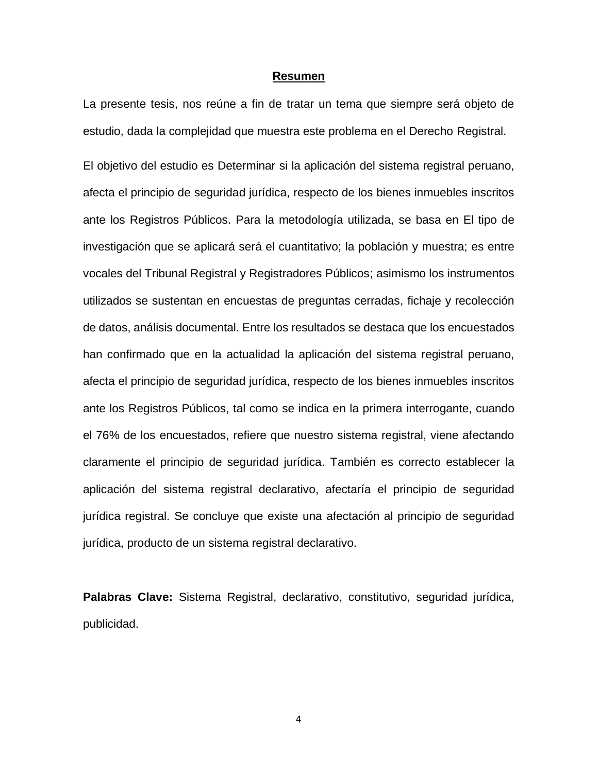#### **Resumen**

La presente tesis, nos reúne a fin de tratar un tema que siempre será objeto de estudio, dada la complejidad que muestra este problema en el Derecho Registral.

El objetivo del estudio es Determinar si la aplicación del sistema registral peruano, afecta el principio de seguridad jurídica, respecto de los bienes inmuebles inscritos ante los Registros Públicos. Para la metodología utilizada, se basa en El tipo de investigación que se aplicará será el cuantitativo; la población y muestra; es entre vocales del Tribunal Registral y Registradores Públicos; asimismo los instrumentos utilizados se sustentan en encuestas de preguntas cerradas, fichaje y recolección de datos, análisis documental. Entre los resultados se destaca que los encuestados han confirmado que en la actualidad la aplicación del sistema registral peruano, afecta el principio de seguridad jurídica, respecto de los bienes inmuebles inscritos ante los Registros Públicos, tal como se indica en la primera interrogante, cuando el 76% de los encuestados, refiere que nuestro sistema registral, viene afectando claramente el principio de seguridad jurídica. También es correcto establecer la aplicación del sistema registral declarativo, afectaría el principio de seguridad jurídica registral. Se concluye que existe una afectación al principio de seguridad jurídica, producto de un sistema registral declarativo.

**Palabras Clave:** Sistema Registral, declarativo, constitutivo, seguridad jurídica, publicidad.